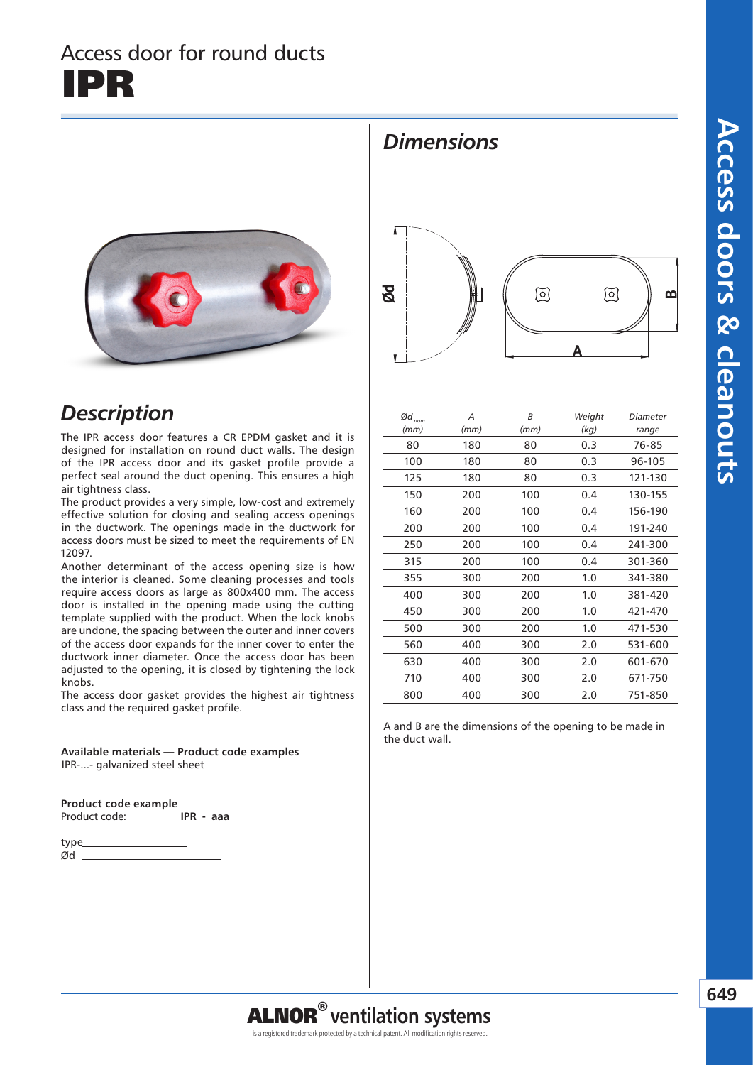# Access doors & cleanouts **Access doors & cleanouts**

# Access door for round ducts IPR



### *Description*

The IPR access door features a CR EPDM gasket and it is designed for installation on round duct walls. The design of the IPR access door and its gasket profile provide a perfect seal around the duct opening. This ensures a high air tightness class.

The product provides a very simple, low-cost and extremely effective solution for closing and sealing access openings in the ductwork. The openings made in the ductwork for access doors must be sized to meet the requirements of EN 12097.

Another determinant of the access opening size is how the interior is cleaned. Some cleaning processes and tools require access doors as large as 800x400 mm. The access door is installed in the opening made using the cutting template supplied with the product. When the lock knobs are undone, the spacing between the outer and inner covers of the access door expands for the inner cover to enter the ductwork inner diameter. Once the access door has been adjusted to the opening, it is closed by tightening the lock knobs.

The access door gasket provides the highest air tightness class and the required gasket profile.

**Available materials — Product code examples** IPR-...- galvanized steel sheet

**Product code example**





*Dimensions*

| $\textit{Qd}_\textit{nom}$ | A    | B    | Weight | Diameter |
|----------------------------|------|------|--------|----------|
| (mm)                       | (mm) | (mm) | (kg)   | range    |
| 80                         | 180  | 80   | 0.3    | 76-85    |
| 100                        | 180  | 80   | 0.3    | 96-105   |
| 125                        | 180  | 80   | 0.3    | 121-130  |
| 150                        | 200  | 100  | 0.4    | 130-155  |
| 160                        | 200  | 100  | 0.4    | 156-190  |
| 200                        | 200  | 100  | 0.4    | 191-240  |
| 250                        | 200  | 100  | 0.4    | 241-300  |
| 315                        | 200  | 100  | 0.4    | 301-360  |
| 355                        | 300  | 200  | 1.0    | 341-380  |
| 400                        | 300  | 200  | 1.0    | 381-420  |
| 450                        | 300  | 200  | 1.0    | 421-470  |
| 500                        | 300  | 200  | 1.0    | 471-530  |
| 560                        | 400  | 300  | 2.0    | 531-600  |
| 630                        | 400  | 300  | 2.0    | 601-670  |
| 710                        | 400  | 300  | 2.0    | 671-750  |
| 800                        | 400  | 300  | 2.0    | 751-850  |
|                            |      |      |        |          |

A and B are the dimensions of the opening to be made in the duct wall.